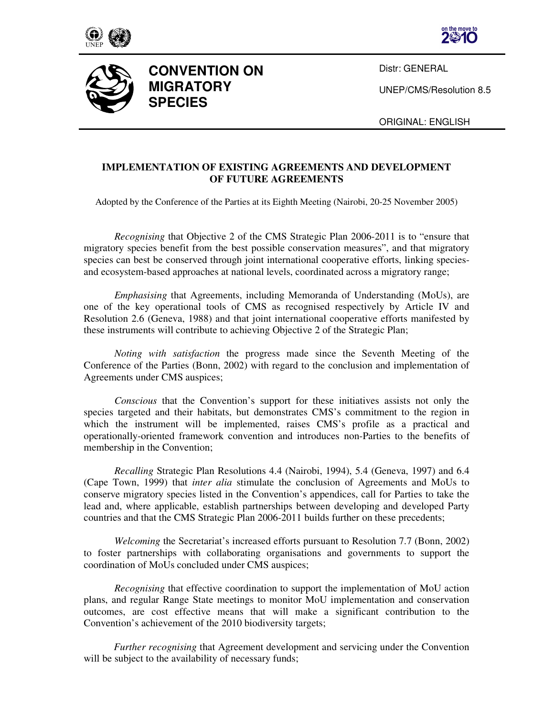





**CONVENTION ON MIGRATORY SPECIES** 

Distr: GENERAL

UNEP/CMS/Resolution 8.5

ORIGINAL: ENGLISH

# **IMPLEMENTATION OF EXISTING AGREEMENTS AND DEVELOPMENT OF FUTURE AGREEMENTS**

Adopted by the Conference of the Parties at its Eighth Meeting (Nairobi, 20-25 November 2005)

*Recognising* that Objective 2 of the CMS Strategic Plan 2006-2011 is to "ensure that migratory species benefit from the best possible conservation measures", and that migratory species can best be conserved through joint international cooperative efforts, linking speciesand ecosystem-based approaches at national levels, coordinated across a migratory range;

*Emphasising* that Agreements, including Memoranda of Understanding (MoUs), are one of the key operational tools of CMS as recognised respectively by Article IV and Resolution 2.6 (Geneva, 1988) and that joint international cooperative efforts manifested by these instruments will contribute to achieving Objective 2 of the Strategic Plan;

*Noting with satisfaction* the progress made since the Seventh Meeting of the Conference of the Parties (Bonn, 2002) with regard to the conclusion and implementation of Agreements under CMS auspices;

*Conscious* that the Convention's support for these initiatives assists not only the species targeted and their habitats, but demonstrates CMS's commitment to the region in which the instrument will be implemented, raises CMS's profile as a practical and operationally-oriented framework convention and introduces non-Parties to the benefits of membership in the Convention;

*Recalling* Strategic Plan Resolutions 4.4 (Nairobi, 1994), 5.4 (Geneva, 1997) and 6.4 (Cape Town, 1999) that *inter alia* stimulate the conclusion of Agreements and MoUs to conserve migratory species listed in the Convention's appendices, call for Parties to take the lead and, where applicable, establish partnerships between developing and developed Party countries and that the CMS Strategic Plan 2006-2011 builds further on these precedents;

*Welcoming* the Secretariat's increased efforts pursuant to Resolution 7.7 (Bonn, 2002) to foster partnerships with collaborating organisations and governments to support the coordination of MoUs concluded under CMS auspices;

*Recognising* that effective coordination to support the implementation of MoU action plans, and regular Range State meetings to monitor MoU implementation and conservation outcomes, are cost effective means that will make a significant contribution to the Convention's achievement of the 2010 biodiversity targets;

*Further recognising* that Agreement development and servicing under the Convention will be subject to the availability of necessary funds;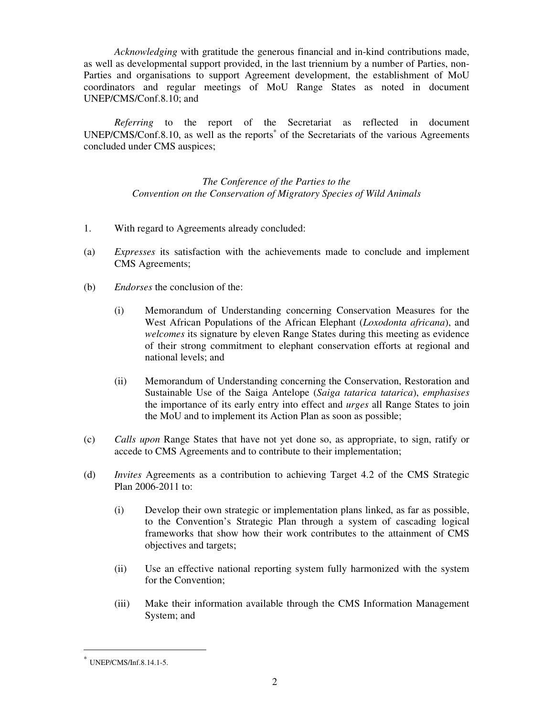*Acknowledging* with gratitude the generous financial and in-kind contributions made, as well as developmental support provided, in the last triennium by a number of Parties, non-Parties and organisations to support Agreement development, the establishment of MoU coordinators and regular meetings of MoU Range States as noted in document UNEP/CMS/Conf.8.10; and

*Referring* to the report of the Secretariat as reflected in document UNEP/CMS/Conf.8.10, as well as the reports<sup>\*</sup> of the Secretariats of the various Agreements concluded under CMS auspices;

> *The Conference of the Parties to the Convention on the Conservation of Migratory Species of Wild Animals*

- 1. With regard to Agreements already concluded:
- (a) *Expresses* its satisfaction with the achievements made to conclude and implement CMS Agreements;
- (b) *Endorses* the conclusion of the:
	- (i) Memorandum of Understanding concerning Conservation Measures for the West African Populations of the African Elephant (*Loxodonta africana*), and *welcomes* its signature by eleven Range States during this meeting as evidence of their strong commitment to elephant conservation efforts at regional and national levels; and
	- (ii) Memorandum of Understanding concerning the Conservation, Restoration and Sustainable Use of the Saiga Antelope (*Saiga tatarica tatarica*), *emphasises* the importance of its early entry into effect and *urges* all Range States to join the MoU and to implement its Action Plan as soon as possible;
- (c) *Calls upon* Range States that have not yet done so, as appropriate, to sign, ratify or accede to CMS Agreements and to contribute to their implementation;
- (d) *Invites* Agreements as a contribution to achieving Target 4.2 of the CMS Strategic Plan 2006-2011 to:
	- (i) Develop their own strategic or implementation plans linked, as far as possible, to the Convention's Strategic Plan through a system of cascading logical frameworks that show how their work contributes to the attainment of CMS objectives and targets;
	- (ii) Use an effective national reporting system fully harmonized with the system for the Convention;
	- (iii) Make their information available through the CMS Information Management System; and

 $\ddot{\phantom{a}}$ 

<sup>∗</sup> UNEP/CMS/Inf.8.14.1-5.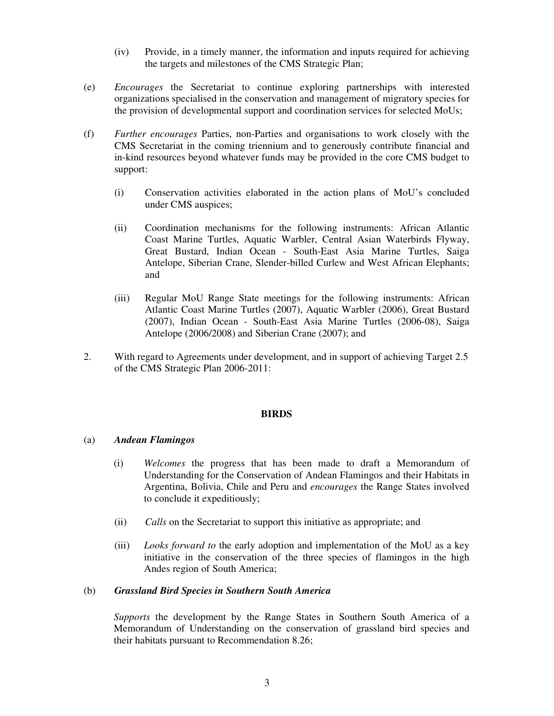- (iv) Provide, in a timely manner, the information and inputs required for achieving the targets and milestones of the CMS Strategic Plan;
- (e) *Encourages* the Secretariat to continue exploring partnerships with interested organizations specialised in the conservation and management of migratory species for the provision of developmental support and coordination services for selected MoUs;
- (f) *Further encourages* Parties, non-Parties and organisations to work closely with the CMS Secretariat in the coming triennium and to generously contribute financial and in-kind resources beyond whatever funds may be provided in the core CMS budget to support:
	- (i) Conservation activities elaborated in the action plans of MoU's concluded under CMS auspices;
	- (ii) Coordination mechanisms for the following instruments: African Atlantic Coast Marine Turtles, Aquatic Warbler, Central Asian Waterbirds Flyway, Great Bustard, Indian Ocean - South-East Asia Marine Turtles, Saiga Antelope, Siberian Crane, Slender-billed Curlew and West African Elephants; and
	- (iii) Regular MoU Range State meetings for the following instruments: African Atlantic Coast Marine Turtles (2007), Aquatic Warbler (2006), Great Bustard (2007), Indian Ocean - South-East Asia Marine Turtles (2006-08), Saiga Antelope (2006/2008) and Siberian Crane (2007); and
- 2. With regard to Agreements under development, and in support of achieving Target 2.5 of the CMS Strategic Plan 2006-2011:

#### **BIRDS**

## (a) *Andean Flamingos*

- (i) *Welcomes* the progress that has been made to draft a Memorandum of Understanding for the Conservation of Andean Flamingos and their Habitats in Argentina, Bolivia, Chile and Peru and *encourages* the Range States involved to conclude it expeditiously;
- (ii) *Calls* on the Secretariat to support this initiative as appropriate; and
- (iii) *Looks forward to* the early adoption and implementation of the MoU as a key initiative in the conservation of the three species of flamingos in the high Andes region of South America;

#### (b) *Grassland Bird Species in Southern South America*

*Supports* the development by the Range States in Southern South America of a Memorandum of Understanding on the conservation of grassland bird species and their habitats pursuant to Recommendation 8.26;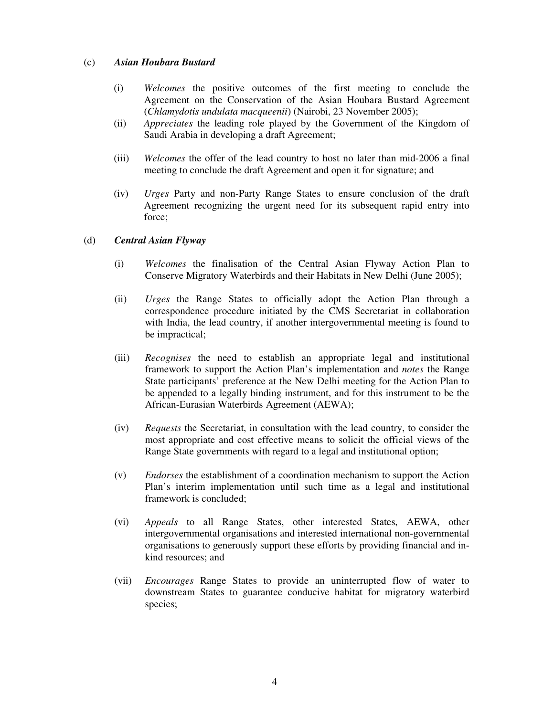## (c) *Asian Houbara Bustard*

- (i) *Welcomes* the positive outcomes of the first meeting to conclude the Agreement on the Conservation of the Asian Houbara Bustard Agreement (*Chlamydotis undulata macqueenii*) (Nairobi, 23 November 2005);
- (ii) *Appreciates* the leading role played by the Government of the Kingdom of Saudi Arabia in developing a draft Agreement;
- (iii) *Welcomes* the offer of the lead country to host no later than mid-2006 a final meeting to conclude the draft Agreement and open it for signature; and
- (iv) *Urges* Party and non-Party Range States to ensure conclusion of the draft Agreement recognizing the urgent need for its subsequent rapid entry into force;

### (d) *Central Asian Flyway*

- (i) *Welcomes* the finalisation of the Central Asian Flyway Action Plan to Conserve Migratory Waterbirds and their Habitats in New Delhi (June 2005);
- (ii) *Urges* the Range States to officially adopt the Action Plan through a correspondence procedure initiated by the CMS Secretariat in collaboration with India, the lead country, if another intergovernmental meeting is found to be impractical;
- (iii) *Recognises* the need to establish an appropriate legal and institutional framework to support the Action Plan's implementation and *notes* the Range State participants' preference at the New Delhi meeting for the Action Plan to be appended to a legally binding instrument, and for this instrument to be the African-Eurasian Waterbirds Agreement (AEWA);
- (iv) *Requests* the Secretariat, in consultation with the lead country, to consider the most appropriate and cost effective means to solicit the official views of the Range State governments with regard to a legal and institutional option;
- (v) *Endorses* the establishment of a coordination mechanism to support the Action Plan's interim implementation until such time as a legal and institutional framework is concluded;
- (vi) *Appeals* to all Range States, other interested States, AEWA, other intergovernmental organisations and interested international non-governmental organisations to generously support these efforts by providing financial and inkind resources; and
- (vii) *Encourages* Range States to provide an uninterrupted flow of water to downstream States to guarantee conducive habitat for migratory waterbird species;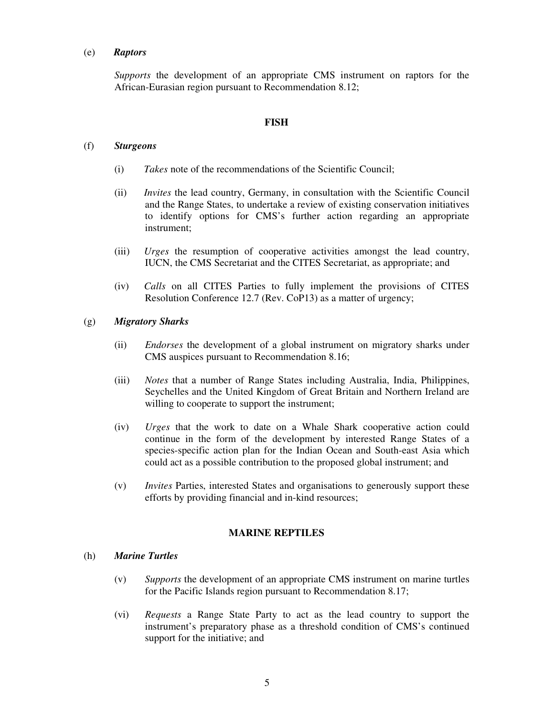#### (e) *Raptors*

*Supports* the development of an appropriate CMS instrument on raptors for the African-Eurasian region pursuant to Recommendation 8.12;

#### **FISH**

### (f) *Sturgeons*

- (i) *Takes* note of the recommendations of the Scientific Council;
- (ii) *Invites* the lead country, Germany, in consultation with the Scientific Council and the Range States, to undertake a review of existing conservation initiatives to identify options for CMS's further action regarding an appropriate instrument;
- (iii) *Urges* the resumption of cooperative activities amongst the lead country, IUCN, the CMS Secretariat and the CITES Secretariat, as appropriate; and
- (iv) *Calls* on all CITES Parties to fully implement the provisions of CITES Resolution Conference 12.7 (Rev. CoP13) as a matter of urgency;

### (g) *Migratory Sharks*

- (ii) *Endorses* the development of a global instrument on migratory sharks under CMS auspices pursuant to Recommendation 8.16;
- (iii) *Notes* that a number of Range States including Australia, India, Philippines, Seychelles and the United Kingdom of Great Britain and Northern Ireland are willing to cooperate to support the instrument;
- (iv) *Urges* that the work to date on a Whale Shark cooperative action could continue in the form of the development by interested Range States of a species-specific action plan for the Indian Ocean and South-east Asia which could act as a possible contribution to the proposed global instrument; and
- (v) *Invites* Parties, interested States and organisations to generously support these efforts by providing financial and in-kind resources;

### **MARINE REPTILES**

#### (h) *Marine Turtles*

- (v) *Supports* the development of an appropriate CMS instrument on marine turtles for the Pacific Islands region pursuant to Recommendation 8.17;
- (vi) *Requests* a Range State Party to act as the lead country to support the instrument's preparatory phase as a threshold condition of CMS's continued support for the initiative; and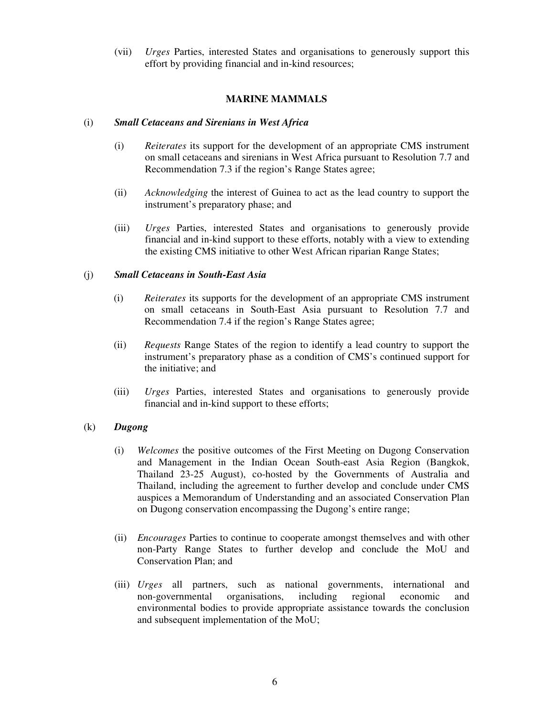(vii) *Urges* Parties, interested States and organisations to generously support this effort by providing financial and in-kind resources;

## **MARINE MAMMALS**

### (i) *Small Cetaceans and Sirenians in West Africa*

- (i) *Reiterates* its support for the development of an appropriate CMS instrument on small cetaceans and sirenians in West Africa pursuant to Resolution 7.7 and Recommendation 7.3 if the region's Range States agree;
- (ii) *Acknowledging* the interest of Guinea to act as the lead country to support the instrument's preparatory phase; and
- (iii) *Urges* Parties, interested States and organisations to generously provide financial and in-kind support to these efforts, notably with a view to extending the existing CMS initiative to other West African riparian Range States;

### (j) *Small Cetaceans in South-East Asia*

- (i) *Reiterates* its supports for the development of an appropriate CMS instrument on small cetaceans in South-East Asia pursuant to Resolution 7.7 and Recommendation 7.4 if the region's Range States agree;
- (ii) *Requests* Range States of the region to identify a lead country to support the instrument's preparatory phase as a condition of CMS's continued support for the initiative; and
- (iii) *Urges* Parties, interested States and organisations to generously provide financial and in-kind support to these efforts;

## (k) *Dugong*

- (i) *Welcomes* the positive outcomes of the First Meeting on Dugong Conservation and Management in the Indian Ocean South-east Asia Region (Bangkok, Thailand 23-25 August), co-hosted by the Governments of Australia and Thailand, including the agreement to further develop and conclude under CMS auspices a Memorandum of Understanding and an associated Conservation Plan on Dugong conservation encompassing the Dugong's entire range;
- (ii) *Encourages* Parties to continue to cooperate amongst themselves and with other non-Party Range States to further develop and conclude the MoU and Conservation Plan; and
- (iii) *Urges* all partners, such as national governments, international and non-governmental organisations, including regional economic and environmental bodies to provide appropriate assistance towards the conclusion and subsequent implementation of the MoU;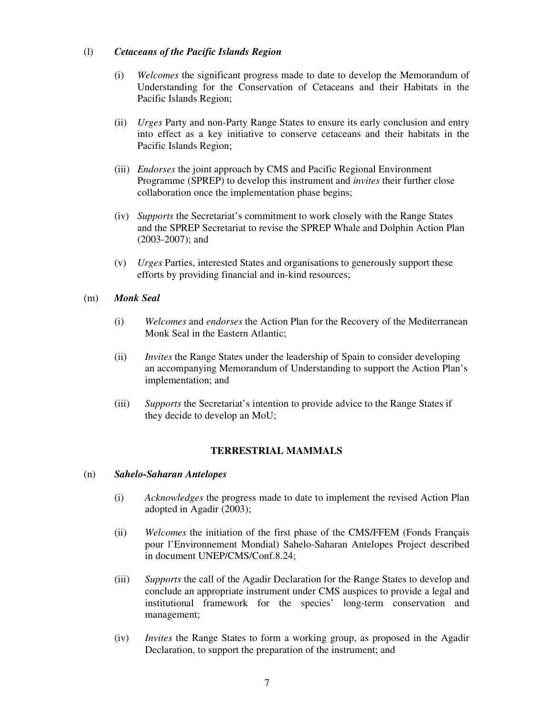## (l) *Cetaceans of the Pacific Islands Region*

- (i) *Welcomes* the significant progress made to date to develop the Memorandum of Understanding for the Conservation of Cetaceans and their Habitats in the Pacific Islands Region;
- (ii) *Urges* Party and non-Party Range States to ensure its early conclusion and entry into effect as a key initiative to conserve cetaceans and their habitats in the Pacific Islands Region;
- (iii) *Endorses* the joint approach by CMS and Pacific Regional Environment Programme (SPREP) to develop this instrument and *invites* their further close collaboration once the implementation phase begins;
- (iv) *Supports* the Secretariat's commitment to work closely with the Range States and the SPREP Secretariat to revise the SPREP Whale and Dolphin Action Plan (2003-2007); and
- (v) *Urges* Parties, interested States and organisations to generously support these efforts by providing financial and in-kind resources;

## (m) *Monk Seal*

- (i) *Welcomes* and *endorses* the Action Plan for the Recovery of the Mediterranean Monk Seal in the Eastern Atlantic;
- (ii) *Invites* the Range States under the leadership of Spain to consider developing an accompanying Memorandum of Understanding to support the Action Plan's implementation; and
- (iii) *Supports* the Secretariat's intention to provide advice to the Range States if they decide to develop an MoU;

## **TERRESTRIAL MAMMALS**

#### (n) *Sahelo-Saharan Antelopes*

- (i) *Acknowledges* the progress made to date to implement the revised Action Plan adopted in Agadir (2003);
- (ii) *Welcomes* the initiation of the first phase of the CMS/FFEM (Fonds Français pour l'Environnement Mondial) Sahelo-Saharan Antelopes Project described in document UNEP/CMS/Conf.8.24;
- (iii) *Supports* the call of the Agadir Declaration for the Range States to develop and conclude an appropriate instrument under CMS auspices to provide a legal and institutional framework for the species' long-term conservation and management;
- (iv) *Invites* the Range States to form a working group, as proposed in the Agadir Declaration, to support the preparation of the instrument; and